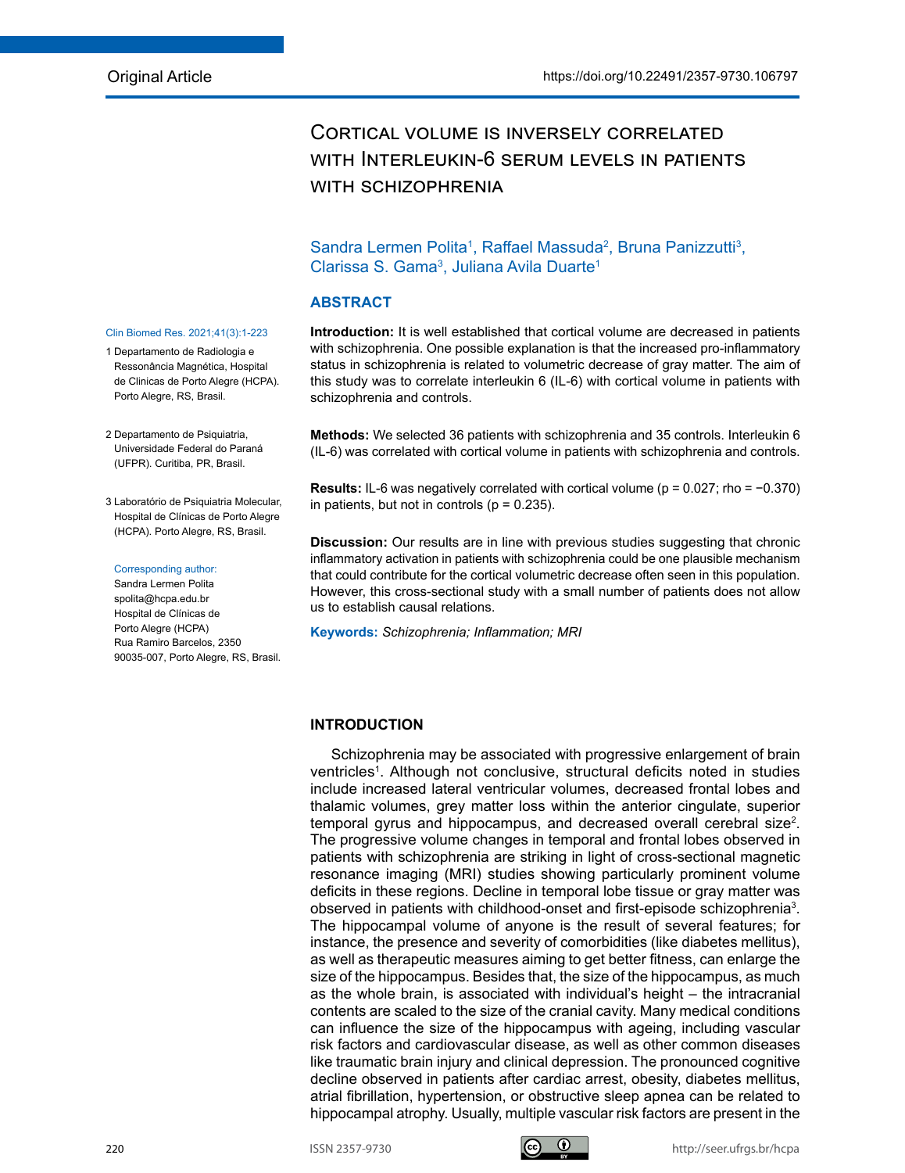# Cortical volume is inversely correlated with Interleukin-6 serum levels in patients WITH SCHIZOPHRENIA

# Sandra Lermen Polita<sup>1</sup>, Raffael Massuda<sup>2</sup>, Bruna Panizzutti<sup>3</sup>, Clarissa S. Gama<sup>3</sup>, Juliana Avila Duarte<sup>1</sup>

### **ABSTRACT**

**Introduction:** It is well established that cortical volume are decreased in patients with schizophrenia. One possible explanation is that the increased pro-inflammatory status in schizophrenia is related to volumetric decrease of gray matter. The aim of this study was to correlate interleukin 6 (IL-6) with cortical volume in patients with schizophrenia and controls.

**Methods:** We selected 36 patients with schizophrenia and 35 controls. Interleukin 6 (IL-6) was correlated with cortical volume in patients with schizophrenia and controls.

**Results:** IL-6 was negatively correlated with cortical volume (p = 0.027; rho = −0.370) in patients, but not in controls ( $p = 0.235$ ).

**Discussion:** Our results are in line with previous studies suggesting that chronic inflammatory activation in patients with schizophrenia could be one plausible mechanism that could contribute for the cortical volumetric decrease often seen in this population. However, this cross-sectional study with a small number of patients does not allow us to establish causal relations.

**Keywords:** *Schizophrenia; Inflammation; MRI*

## **INTRODUCTION**

Schizophrenia may be associated with progressive enlargement of brain ventricles<sup>1</sup>. Although not conclusive, structural deficits noted in studies include increased lateral ventricular volumes, decreased frontal lobes and thalamic volumes, grey matter loss within the anterior cingulate, superior temporal gyrus and hippocampus, and decreased overall cerebral size<sup>2</sup>. The progressive volume changes in temporal and frontal lobes observed in patients with schizophrenia are striking in light of cross-sectional magnetic resonance imaging (MRI) studies showing particularly prominent volume deficits in these regions. Decline in temporal lobe tissue or gray matter was observed in patients with childhood-onset and first-episode schizophrenia<sup>3</sup>. The hippocampal volume of anyone is the result of several features; for instance, the presence and severity of comorbidities (like diabetes mellitus), as well as therapeutic measures aiming to get better fitness, can enlarge the size of the hippocampus. Besides that, the size of the hippocampus, as much as the whole brain, is associated with individual's height – the intracranial contents are scaled to the size of the cranial cavity. Many medical conditions can influence the size of the hippocampus with ageing, including vascular risk factors and cardiovascular disease, as well as other common diseases like traumatic brain injury and clinical depression. The pronounced cognitive decline observed in patients after cardiac arrest, obesity, diabetes mellitus, atrial fibrillation, hypertension, or obstructive sleep apnea can be related to hippocampal atrophy. Usually, multiple vascular risk factors are present in the

### Clin Biomed Res. 2021;41(3):1-223

- 1 Departamento de Radiologia e Ressonância Magnética, Hospital de Clinicas de Porto Alegre (HCPA). Porto Alegre, RS, Brasil.
- 2 Departamento de Psiquiatria, Universidade Federal do Paraná (UFPR). Curitiba, PR, Brasil.

### 3 Laboratório de Psiguiatria Molecular, Hospital de Clínicas de Porto Alegre (HCPA). Porto Alegre, RS, Brasil.

#### Corresponding author:

Sandra Lermen Polita spolita@hcpa.edu.br Hospital de Clínicas de Porto Alegre (HCPA) Rua Ramiro Barcelos, 2350 90035-007, Porto Alegre, RS, Brasil.

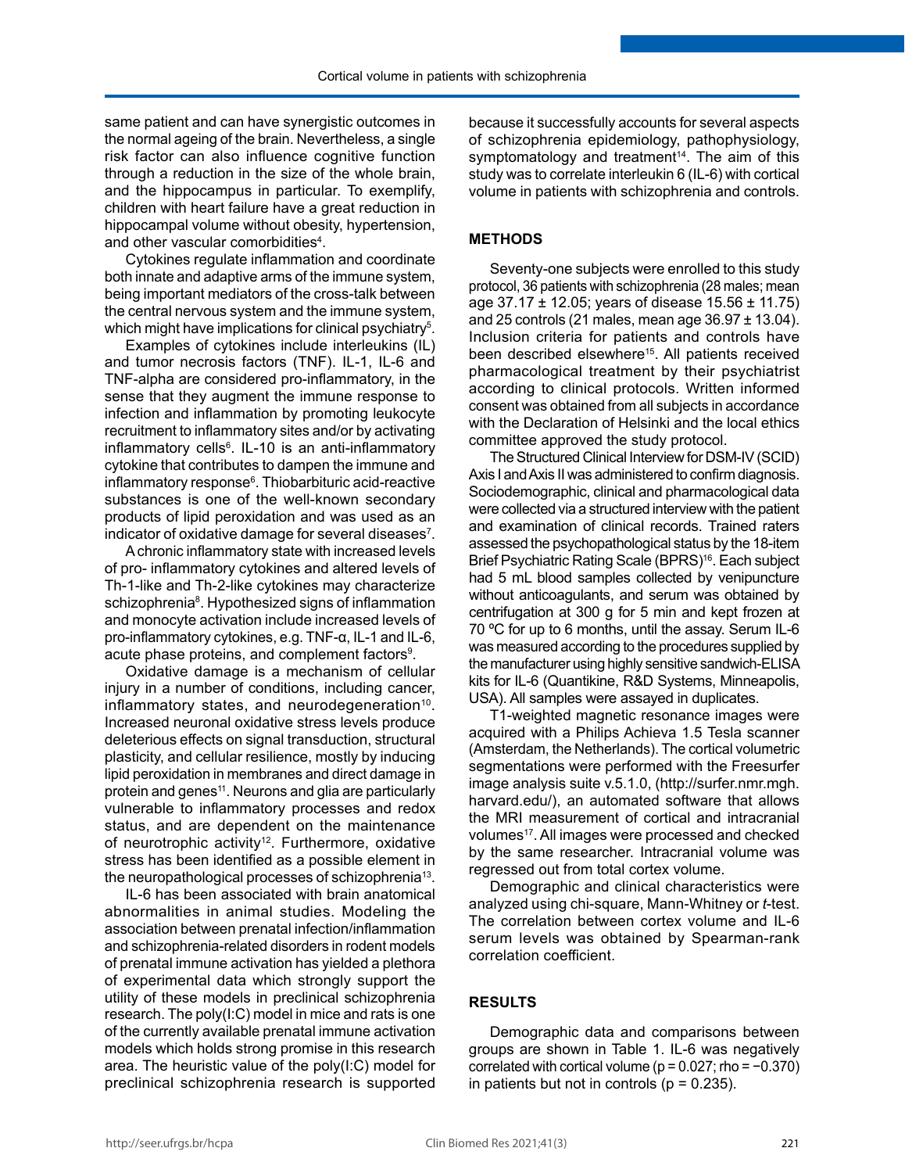same patient and can have synergistic outcomes in the normal ageing of the brain. Nevertheless, a single risk factor can also influence cognitive function through a reduction in the size of the whole brain, and the hippocampus in particular. To exemplify, children with heart failure have a great reduction in hippocampal volume without obesity, hypertension, and other vascular comorbidities<sup>4</sup>.

Cytokines regulate inflammation and coordinate both innate and adaptive arms of the immune system, being important mediators of the cross-talk between the central nervous system and the immune system, which might have implications for clinical psychiatry $^5\!$ .

Examples of cytokines include interleukins (IL) and tumor necrosis factors (TNF). IL-1, IL-6 and TNF-alpha are considered pro-inflammatory, in the sense that they augment the immune response to infection and inflammation by promoting leukocyte recruitment to inflammatory sites and/or by activating inflammatory cells<sup>6</sup>. IL-10 is an anti-inflammatory cytokine that contributes to dampen the immune and inflammatory response<sup>6</sup>. Thiobarbituric acid-reactive substances is one of the well-known secondary products of lipid peroxidation and was used as an indicator of oxidative damage for several diseases<sup>7</sup>.

A chronic inflammatory state with increased levels of pro- inflammatory cytokines and altered levels of Th-1-like and Th-2-like cytokines may characterize schizophrenia<sup>8</sup>. Hypothesized signs of inflammation and monocyte activation include increased levels of pro-inflammatory cytokines, e.g. TNF-α, IL-1 and IL-6, acute phase proteins, and complement factors $^{\rm 9}$ .

Oxidative damage is a mechanism of cellular injury in a number of conditions, including cancer, inflammatory states, and neurodegeneration $10$ . Increased neuronal oxidative stress levels produce deleterious effects on signal transduction, structural plasticity, and cellular resilience, mostly by inducing lipid peroxidation in membranes and direct damage in protein and genes<sup>11</sup>. Neurons and glia are particularly vulnerable to inflammatory processes and redox status, and are dependent on the maintenance of neurotrophic activity<sup>12</sup>. Furthermore, oxidative stress has been identified as a possible element in the neuropathological processes of schizophrenia<sup>13</sup>.

IL-6 has been associated with brain anatomical abnormalities in animal studies. Modeling the association between prenatal infection/inflammation and schizophrenia-related disorders in rodent models of prenatal immune activation has yielded a plethora of experimental data which strongly support the utility of these models in preclinical schizophrenia research. The poly(I:C) model in mice and rats is one of the currently available prenatal immune activation models which holds strong promise in this research area. The heuristic value of the poly(I:C) model for preclinical schizophrenia research is supported because it successfully accounts for several aspects of schizophrenia epidemiology, pathophysiology, symptomatology and treatment<sup>14</sup>. The aim of this study was to correlate interleukin 6 (IL-6) with cortical volume in patients with schizophrenia and controls.

### **METHODS**

Seventy-one subjects were enrolled to this study protocol, 36 patients with schizophrenia (28 males; mean age 37.17 ± 12.05; years of disease 15.56 ± 11.75) and 25 controls (21 males, mean age  $36.97 \pm 13.04$ ). Inclusion criteria for patients and controls have been described elsewhere<sup>15</sup>. All patients received pharmacological treatment by their psychiatrist according to clinical protocols. Written informed consent was obtained from all subjects in accordance with the Declaration of Helsinki and the local ethics committee approved the study protocol.

The Structured Clinical Interview for DSM-IV (SCID) Axis I and Axis II was administered to confirm diagnosis. Sociodemographic, clinical and pharmacological data were collected via a structured interview with the patient and examination of clinical records. Trained raters assessed the psychopathological status by the 18-item Brief Psychiatric Rating Scale (BPRS)<sup>16</sup>. Each subject had 5 mL blood samples collected by venipuncture without anticoagulants, and serum was obtained by centrifugation at 300 g for 5 min and kept frozen at 70 ºC for up to 6 months, until the assay. Serum IL-6 was measured according to the procedures supplied by the manufacturer using highly sensitive sandwich-ELISA kits for IL-6 (Quantikine, R&D Systems, Minneapolis, USA). All samples were assayed in duplicates.

T1-weighted magnetic resonance images were acquired with a Philips Achieva 1.5 Tesla scanner (Amsterdam, the Netherlands). The cortical volumetric segmentations were performed with the Freesurfer image analysis suite v.5.1.0, ([http://surfer.nmr.mgh.](http://surfer.nmr.mgh.harvard.edu/) [harvard.edu/\)](http://surfer.nmr.mgh.harvard.edu/), an automated software that allows the MRI measurement of cortical and intracranial volumes<sup>17</sup>. All images were processed and checked by the same researcher. Intracranial volume was regressed out from total cortex volume.

Demographic and clinical characteristics were analyzed using chi-square, Mann-Whitney or *t*-test. The correlation between cortex volume and IL-6 serum levels was obtained by Spearman-rank correlation coefficient.

### **RESULTS**

Demographic data and comparisons between groups are shown in Table 1. IL-6 was negatively correlated with cortical volume ( $p = 0.027$ ; rho =  $-0.370$ ) in patients but not in controls ( $p = 0.235$ ).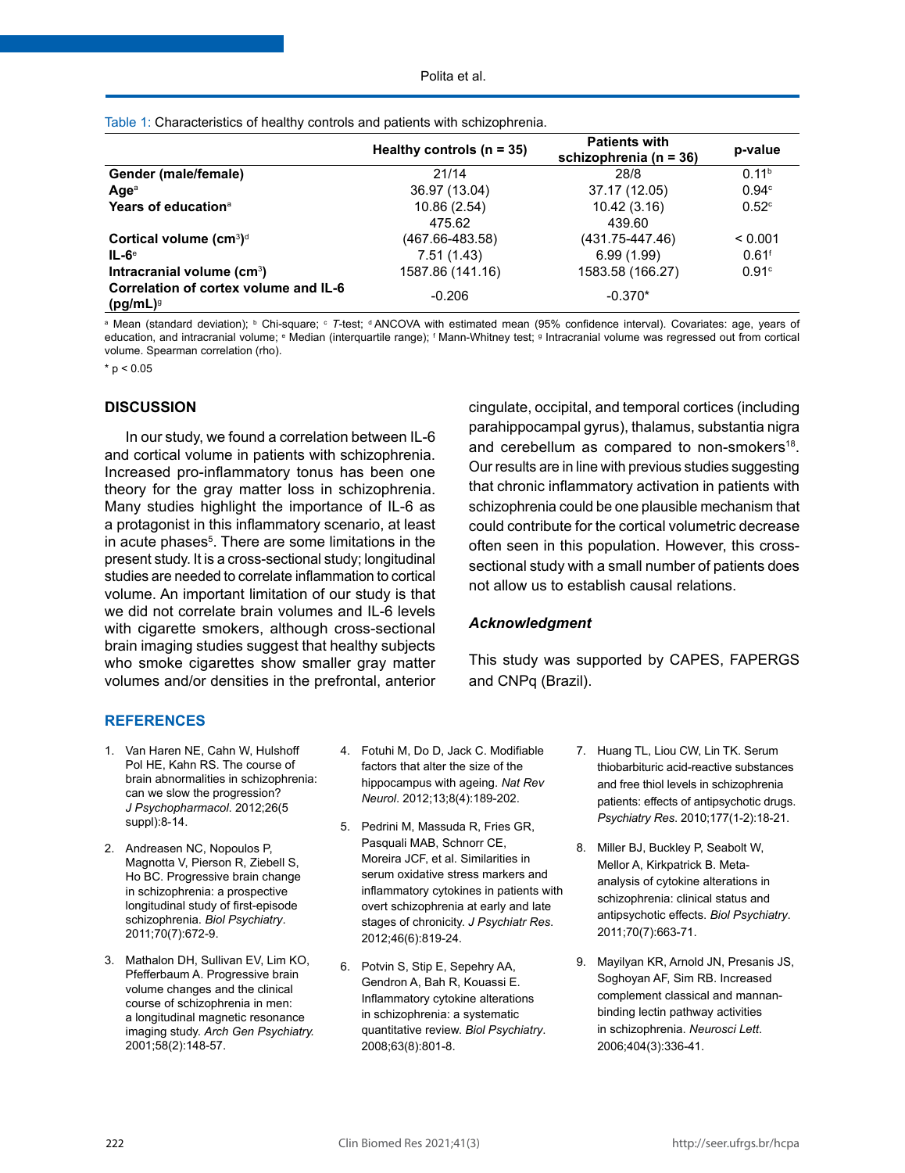|                                                      | Healthy controls $(n = 35)$ | <b>Patients with</b><br>schizophrenia (n = 36) | p-value             |
|------------------------------------------------------|-----------------------------|------------------------------------------------|---------------------|
| Gender (male/female)                                 | 21/14                       | 28/8                                           | 0.11 <sup>b</sup>   |
| Age <sup>a</sup>                                     | 36.97 (13.04)               | 37.17 (12.05)                                  | 0.94 <sup>c</sup>   |
| Years of education <sup>a</sup>                      | 10.86(2.54)                 | 10.42(3.16)                                    | 0.52 <sup>c</sup>   |
|                                                      | 475.62                      | 439.60                                         |                     |
| Cortical volume $(cm^3)^d$                           | (467.66-483.58)             | $(431.75 - 447.46)$                            | < 0.001             |
| $IL-6e$                                              | 7.51(1.43)                  | 6.99(1.99)                                     | $0.61$ <sup>f</sup> |
| Intracranial volume (cm <sup>3</sup> )               | 1587.86 (141.16)            | 1583.58 (166.27)                               | 0.91c               |
| Correlation of cortex volume and IL-6<br>$(pg/mL)^9$ | $-0.206$                    | $-0.370*$                                      |                     |

Table 1: Characteristics of healthy controls and patients with schizophrenia.

<sup>a</sup> Mean (standard deviation); <sup>b</sup> Chi-square; ° T-test; <sup>d</sup> ANCOVA with estimated mean (95% confidence interval). Covariates: age, years of education, and intracranial volume; <sup>e</sup> Median (interquartile range); <sup>f</sup> Mann-Whitney test; <sup>g</sup> Intracranial volume was regressed out from cortical volume. Spearman correlation (rho).

 $*$  p < 0.05

### **DISCUSSION**

In our study, we found a correlation between IL-6 and cortical volume in patients with schizophrenia. Increased pro-inflammatory tonus has been one theory for the gray matter loss in schizophrenia. Many studies highlight the importance of IL-6 as a protagonist in this inflammatory scenario, at least in acute phases<sup>5</sup>. There are some limitations in the present study. It is a cross-sectional study; longitudinal studies are needed to correlate inflammation to cortical volume. An important limitation of our study is that we did not correlate brain volumes and IL-6 levels with cigarette smokers, although cross-sectional brain imaging studies suggest that healthy subjects who smoke cigarettes show smaller gray matter volumes and/or densities in the prefrontal, anterior cingulate, occipital, and temporal cortices (including parahippocampal gyrus), thalamus, substantia nigra and cerebellum as compared to non-smokers<sup>18</sup>. Our results are in line with previous studies suggesting that chronic inflammatory activation in patients with schizophrenia could be one plausible mechanism that could contribute for the cortical volumetric decrease often seen in this population. However, this crosssectional study with a small number of patients does not allow us to establish causal relations.

## *Acknowledgment*

This study was supported by CAPES, FAPERGS and CNPq (Brazil).

### **REFERENCES**

- 1. Van Haren NE, Cahn W, Hulshoff Pol HE, Kahn RS. The course of brain abnormalities in schizophrenia: can we slow the progression? *J Psychopharmacol*. 2012;26(5 suppl):8-14.
- 2. Andreasen NC, Nopoulos P, Magnotta V, Pierson R, Ziebell S, Ho BC. Progressive brain change in schizophrenia: a prospective longitudinal study of first-episode schizophrenia. *Biol Psychiatry*. 2011;70(7):672-9.
- 3. Mathalon DH, Sullivan EV, Lim KO, Pfefferbaum A. Progressive brain volume changes and the clinical course of schizophrenia in men: a longitudinal magnetic resonance imaging study. *Arch Gen Psychiatry.* 2001;58(2):148-57.
- 4. Fotuhi M, Do D, Jack C. Modifiable factors that alter the size of the hippocampus with ageing. *Nat Rev Neurol*. 2012;13;8(4):189-202.
- 5. Pedrini M, Massuda R, Fries GR, Pasquali MAB, Schnorr CE, Moreira JCF, et al. Similarities in serum oxidative stress markers and inflammatory cytokines in patients with overt schizophrenia at early and late stages of chronicity. *J Psychiatr Res*. 2012;46(6):819-24.
- 6. Potvin S, Stip E, Sepehry AA, Gendron A, Bah R, Kouassi E. Inflammatory cytokine alterations in schizophrenia: a systematic quantitative review. *Biol Psychiatry*. 2008;63(8):801-8.
- 7. Huang TL, Liou CW, Lin TK. Serum thiobarbituric acid-reactive substances and free thiol levels in schizophrenia patients: effects of antipsychotic drugs. *Psychiatry Res*. 2010;177(1-2):18-21.
- 8. Miller BJ, Buckley P, Seabolt W, Mellor A, Kirkpatrick B. Metaanalysis of cytokine alterations in schizophrenia: clinical status and antipsychotic effects. *Biol Psychiatry*. 2011;70(7):663-71.
- 9. Mayilyan KR, Arnold JN, Presanis JS, Soghoyan AF, Sim RB. Increased complement classical and mannanbinding lectin pathway activities in schizophrenia. *Neurosci Lett*. 2006;404(3):336-41.